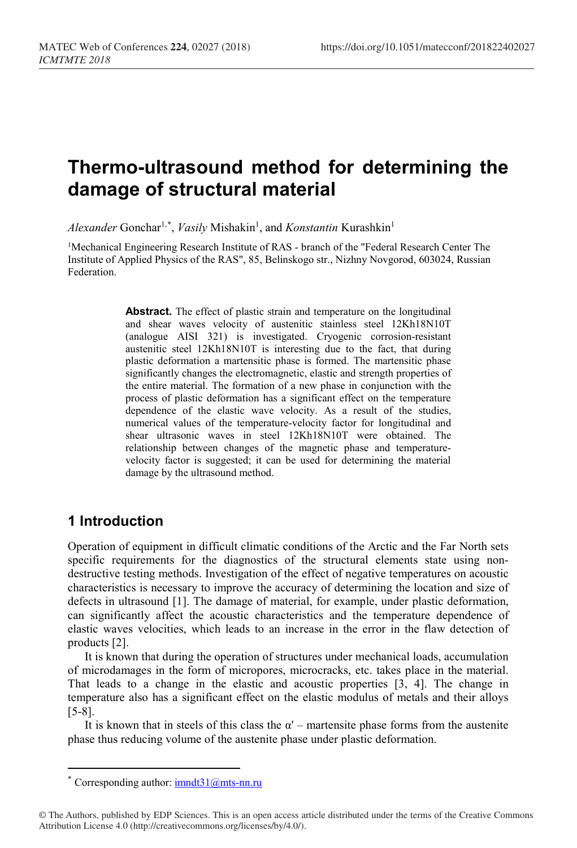# **Thermo-ultrasound method for determining the damage of structural material**

Alexander Gonchar<sup>1,[\\*](#page-0-0)</sup>, *Vasily* Mishakin<sup>1</sup>, and *Konstantin* Kurashkin<sup>1</sup>

<sup>1</sup>Mechanical Engineering Research Institute of RAS - branch of the "Federal Research Center The Institute of Applied Physics of the RAS", 85, Belinskogo str., Nizhny Novgorod, 603024, Russian Federation.

> **Abstract.** The effect of plastic strain and temperature on the longitudinal and shear waves velocity of austenitic stainless steel 12Kh18N10T (analogue AISI 321) is investigated. Cryogenic corrosion-resistant austenitic steel 12Kh18N10T is interesting due to the fact, that during plastic deformation a martensitic phase is formed. The martensitic phase significantly changes the electromagnetic, elastic and strength properties of the entire material. The formation of a new phase in conjunction with the process of plastic deformation has a significant effect on the temperature dependence of the elastic wave velocity. As a result of the studies, numerical values of the temperature-velocity factor for longitudinal and shear ultrasonic waves in steel 12Kh18N10T were obtained. The relationship between changes of the magnetic phase and temperaturevelocity factor is suggested; it can be used for determining the material damage by the ultrasound method.

## **1 Introduction**

 $\overline{a}$ 

Operation of equipment in difficult climatic conditions of the Arctic and the Far North sets specific requirements for the diagnostics of the structural elements state using nondestructive testing methods. Investigation of the effect of negative temperatures on acoustic characteristics is necessary to improve the accuracy of determining the location and size of defects in ultrasound [1]. The damage of material, for example, under plastic deformation, can significantly affect the acoustic characteristics and the temperature dependence of elastic waves velocities, which leads to an increase in the error in the flaw detection of products [2].

It is known that during the operation of structures under mechanical loads, accumulation of microdamages in the form of micropores, microcracks, etc. takes place in the material. That leads to a change in the elastic and acoustic properties [3, 4]. The change in temperature also has a significant effect on the elastic modulus of metals and their alloys [5-8].

It is known that in steels of this class the  $\alpha'$  – martensite phase forms from the austenite phase thus reducing volume of the austenite phase under plastic deformation.

Corresponding author:  $\frac{\text{imnd}31}{\text{m}}$ ts-nn.ru

<span id="page-0-0"></span><sup>©</sup> The Authors, published by EDP Sciences. This is an open access article distributed under the terms of the Creative Commons Attribution License 4.0 (http://creativecommons.org/licenses/by/4.0/).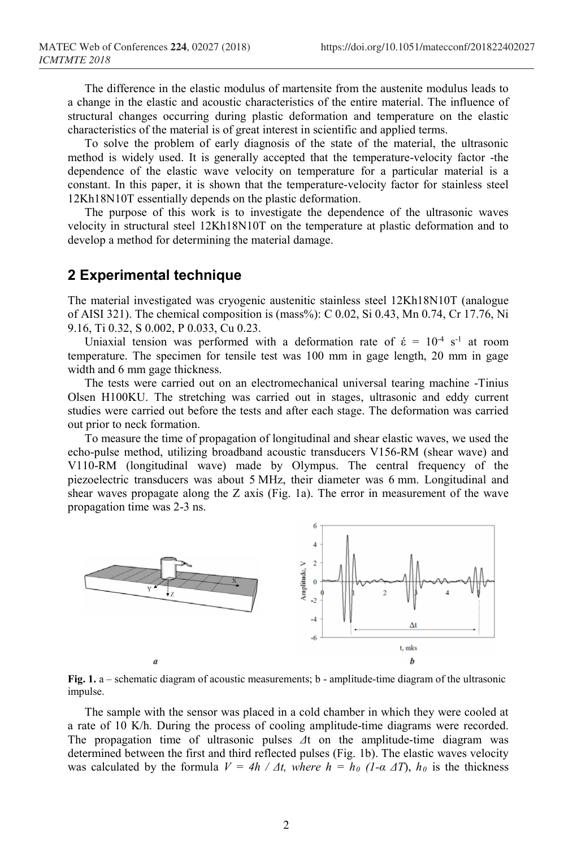The difference in the elastic modulus of martensite from the austenite modulus leads to a change in the elastic and acoustic characteristics of the entire material. The influence of structural changes occurring during plastic deformation and temperature on the elastic characteristics of the material is of great interest in scientific and applied terms.

To solve the problem of early diagnosis of the state of the material, the ultrasonic method is widely used. It is generally accepted that the temperature-velocity factor -the dependence of the elastic wave velocity on temperature for a particular material is a constant. In this paper, it is shown that the temperature-velocity factor for stainless steel 12Kh18N10T essentially depends on the plastic deformation.

The purpose of this work is to investigate the dependence of the ultrasonic waves velocity in structural steel 12Kh18N10T on the temperature at plastic deformation and to develop a method for determining the material damage.

#### **2 Experimental technique**

The material investigated was cryogenic austenitic stainless steel 12Kh18N10T (analogue of AISI 321). The chemical composition is (mass%): C 0.02, Si 0.43, Mn 0.74, Cr 17.76, Ni 9.16, Ti 0.32, S 0.002, P 0.033, Cu 0.23.

Uniaxial tension was performed with a deformation rate of  $\acute{\epsilon} = 10^{-4} \text{ s}^{-1}$  at room temperature. The specimen for tensile test was 100 mm in gage length, 20 mm in gage width and 6 mm gage thickness.

The tests were carried out on an electromechanical universal tearing machine -Tinius Olsen H100KU. The stretching was carried out in stages, ultrasonic and eddy current studies were carried out before the tests and after each stage. The deformation was carried out prior to neck formation.

To measure the time of propagation of longitudinal and shear elastic waves, we used the echo-pulse method, utilizing broadband acoustic transducers V156-RM (shear wave) and V110-RM (longitudinal wave) made by Olympus. The central frequency of the piezoelectric transducers was about 5 MHz, their diameter was 6 mm. Longitudinal and shear waves propagate along the Z axis (Fig. 1a). The error in measurement of the wave propagation time was 2-3 ns.



**Fig. 1.** a – schematic diagram of acoustic measurements; b - amplitude-time diagram of the ultrasonic impulse.

The sample with the sensor was placed in a cold chamber in which they were cooled at a rate of 10 K/h. During the process of cooling amplitude-time diagrams were recorded. The propagation time of ultrasonic pulses *Δ*t on the amplitude-time diagram was determined between the first and third reflected pulses (Fig. 1b). The elastic waves velocity was calculated by the formula  $V = 4h / \Delta t$ , where  $h = h_0 (I - \alpha \Delta T)$ ,  $h_0$  is the thickness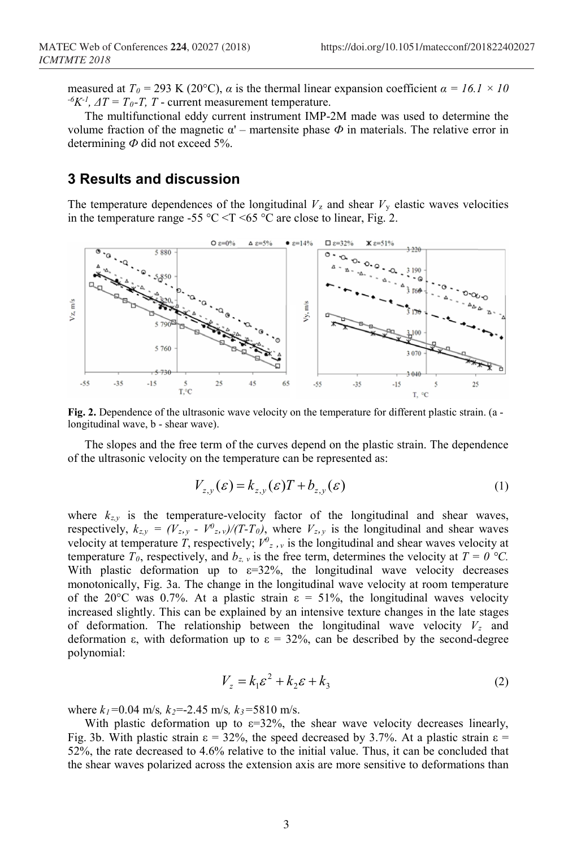measured at  $T_0 = 293$  K (20°C), *α* is the thermal linear expansion coefficient *α* = 16.1 × 10  ${}^{\circ}K^{-1}$ ,  $\Delta T = T_0 - T$ , *T* - current measurement temperature.

The multifunctional eddy current instrument IMP-2M made was used to determine the volume fraction of the magnetic  $\alpha'$  – martensite phase  $\Phi$  in materials. The relative error in determining *Ф* did not exceed 5%.

## **3 Results and discussion**

The temperature dependences of the longitudinal  $V<sub>z</sub>$  and shear  $V<sub>y</sub>$  elastic waves velocities in the temperature range -55 °C <T <65 °C are close to linear, Fig. 2.



**Fig. 2.** Dependence of the ultrasonic wave velocity on the temperature for different plastic strain. (a longitudinal wave, b - shear wave).

The slopes and the free term of the curves depend on the plastic strain. The dependence of the ultrasonic velocity on the temperature can be represented as:

$$
V_{z,y}(\varepsilon) = k_{z,y}(\varepsilon)T + b_{z,y}(\varepsilon)
$$
\n(1)

where  $k_{z,y}$  is the temperature-velocity factor of the longitudinal and shear waves, respectively,  $k_{z,y} = (V_{z,y} - V_{z,y})/(T-T_0)$ , where  $V_{z,y}$  is the longitudinal and shear waves velocity at temperature *T*, respectively;  $V^0$ <sub>z</sub>, *y* is the longitudinal and shear waves velocity at temperature  $T_0$ , respectively, and  $b_{z}$ , is the free term, determines the velocity at  $T = 0$  °C. With plastic deformation up to  $\varepsilon=32\%$ , the longitudinal wave velocity decreases monotonically, Fig. 3a. The change in the longitudinal wave velocity at room temperature of the 20°C was 0.7%. At a plastic strain  $ε = 51%$ , the longitudinal waves velocity increased slightly. This can be explained by an intensive texture changes in the late stages of deformation. The relationship between the longitudinal wave velocity  $V<sub>z</sub>$  and deformation  $\varepsilon$ , with deformation up to  $\varepsilon = 32\%$ , can be described by the second-degree polynomial:

$$
V_z = k_1 \varepsilon^2 + k_2 \varepsilon + k_3 \tag{2}
$$

where *k1=*0.04 m/s*, k2*=-2.45 m/s*, k3=*5810 m/s.

With plastic deformation up to  $\varepsilon$ =32%, the shear wave velocity decreases linearly, Fig. 3b. With plastic strain  $\varepsilon = 32\%$ , the speed decreased by 3.7%. At a plastic strain  $\varepsilon =$ 52%, the rate decreased to 4.6% relative to the initial value. Thus, it can be concluded that the shear waves polarized across the extension axis are more sensitive to deformations than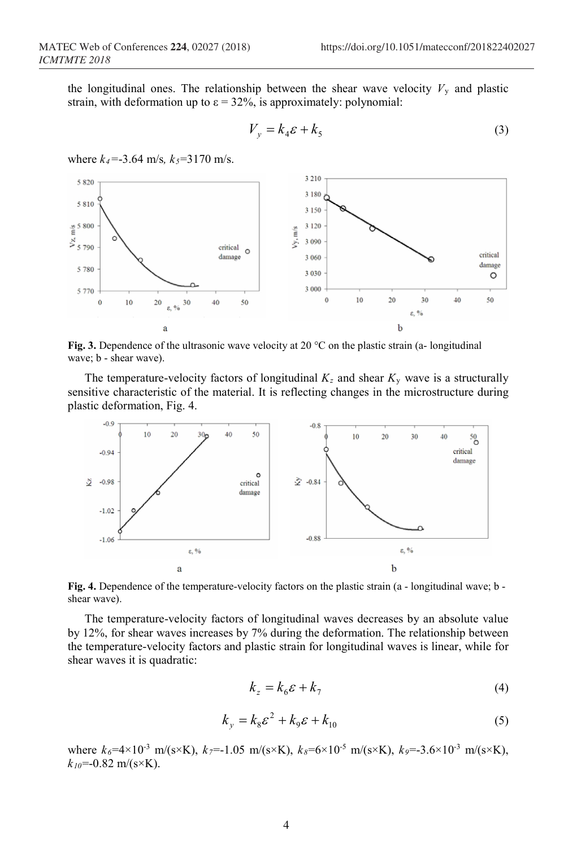the longitudinal ones. The relationship between the shear wave velocity  $V_y$  and plastic strain, with deformation up to  $\varepsilon = 32\%$ , is approximately: polynomial:

$$
V_y = k_4 \varepsilon + k_5 \tag{3}
$$

where  $k_4$ =-3.64 m/s,  $k_5$ =3170 m/s.



**Fig. 3.** Dependence of the ultrasonic wave velocity at 20 °C on the plastic strain (a- longitudinal wave; b - shear wave).

The temperature-velocity factors of longitudinal  $K_z$  and shear  $K_y$  wave is a structurally sensitive characteristic of the material. It is reflecting changes in the microstructure during plastic deformation, Fig. 4.



**Fig. 4.** Dependence of the temperature-velocity factors on the plastic strain (a - longitudinal wave; b shear wave).

The temperature-velocity factors of longitudinal waves decreases by an absolute value by 12%, for shear waves increases by 7% during the deformation. The relationship between the temperature-velocity factors and plastic strain for longitudinal waves is linear, while for shear waves it is quadratic:

$$
k_z = k_6 \varepsilon + k_7 \tag{4}
$$

$$
k_y = k_8 \varepsilon^2 + k_9 \varepsilon + k_{10}
$$
 (5)

where  $k_6 = 4 \times 10^{-3}$  m/(s×K),  $k_7 = -1.05$  m/(s×K),  $k_8 = 6 \times 10^{-5}$  m/(s×K),  $k_9 = -3.6 \times 10^{-3}$  m/(s×K),  $k_{10}$ =-0.82 m/(s×K).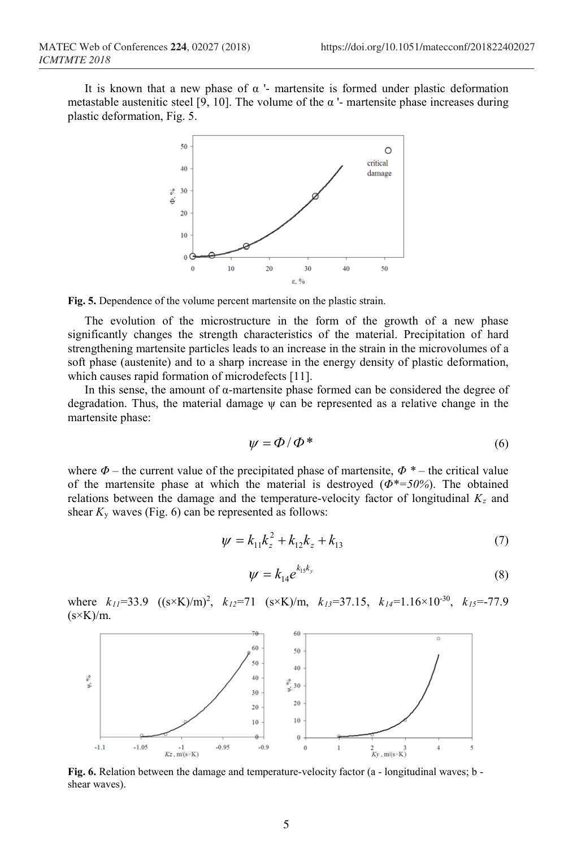It is known that a new phase of  $\alpha$  '- martensite is formed under plastic deformation metastable austenitic steel [9, 10]. The volume of the  $\alpha$  '- martensite phase increases during plastic deformation, Fig. 5.



**Fig. 5.** Dependence of the volume percent martensite on the plastic strain.

The evolution of the microstructure in the form of the growth of a new phase significantly changes the strength characteristics of the material. Precipitation of hard strengthening martensite particles leads to an increase in the strain in the microvolumes of a soft phase (austenite) and to a sharp increase in the energy density of plastic deformation, which causes rapid formation of microdefects [11].

In this sense, the amount of α-martensite phase formed can be considered the degree of degradation. Thus, the material damage ψ can be represented as a relative change in the martensite phase:

$$
\psi = \Phi / \Phi^* \tag{6}
$$

where  $\Phi$  – the current value of the precipitated phase of martensite,  $\Phi^*$  – the critical value of the martensite phase at which the material is destroyed (*Φ\*=50%*). The obtained relations between the damage and the temperature-velocity factor of longitudinal  $K_z$  and shear  $K_y$  waves (Fig. 6) can be represented as follows:

$$
\psi = k_{11}k_z^2 + k_{12}k_z + k_{13} \tag{7}
$$

$$
\psi = k_{14} e^{k_{15}k_y} \tag{8}
$$

where  $k_{11}$ =33.9 ((s×K)/m)<sup>2</sup>,  $k_{12}$ =71 (s×K)/m,  $k_{13}$ =37.15,  $k_{14}$ =1.16×10<sup>-30</sup>,  $k_{15}$ =-77.9  $(s \times K)/m$ .



**Fig. 6.** Relation between the damage and temperature-velocity factor (a - longitudinal waves; b shear waves).